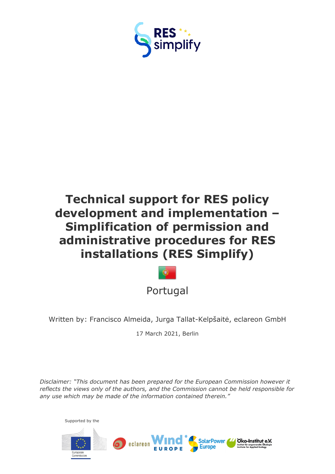

# **Technical support for RES policy development and implementation – Simplification of permission and administrative procedures for RES installations (RES Simplify)**



Written by: Francisco Almeida, Jurga Tallat-Kelpšaitė, eclareon GmbH

17 March 2021, Berlin

*Disclaimer: "This document has been prepared for the European Commission however it reflects the views only of the authors, and the Commission cannot be held responsible for any use which may be made of the information contained therein."*

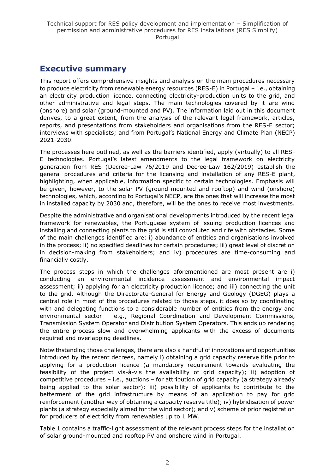# <span id="page-1-0"></span>**Executive summary**

This report offers comprehensive insights and analysis on the main procedures necessary to produce electricity from renewable energy resources (RES-E) in Portugal – i.e., obtaining an electricity production licence, connecting electricity-production units to the grid, and other administrative and legal steps. The main technologies covered by it are wind (onshore) and solar (ground-mounted and PV). The information laid out in this document derives, to a great extent, from the analysis of the relevant legal framework, articles, reports, and presentations from stakeholders and organisations from the RES-E sector; interviews with specialists; and from Portugal's National Energy and Climate Plan (NECP) 2021-2030.

The processes here outlined, as well as the barriers identified, apply (virtually) to all RES-E technologies. Portugal's latest amendments to the legal framework on electricity generation from RES [\(Decree-Law 76/2019](https://dre.pt/web/guest/pesquisa/-/search/122476954/details/maximized) and [Decree-Law 162/2019\)](https://dre.pt/web/guest/pesquisa/-/search/122403270/details/normal?q=162%2F2019) establish the general procedures and criteria for the licensing and installation of any RES-E plant, highlighting, when applicable, information specific to certain technologies. Emphasis will be given, however, to the solar PV (ground-mounted and rooftop) and wind (onshore) technologies, which, according to Portugal's NECP, are the ones that will increase the most in installed capacity by 2030 and, therefore, will be the ones to receive most investments.

Despite the administrative and organisational developments introduced by the recent legal framework for renewables, the Portuguese system of issuing production licences and installing and connecting plants to the grid is still convoluted and rife with obstacles. Some of the main challenges identified are: i) abundance of entities and organisations involved in the process; ii) no specified deadlines for certain procedures; iii) great level of discretion in decision-making from stakeholders; and iv) procedures are time-consuming and financially costly.

The process steps in which the challenges aforementioned are most present are i) conducting an environmental incidence assessment and environmental impact assessment; ii) applying for an electricity production licence; and iii) connecting the unit to the grid. Although the Directorate-General for Energy and Geology (DGEG) plays a central role in most of the procedures related to those steps, it does so by coordinating with and delegating functions to a considerable number of entities from the energy and environmental sector – e.g., Regional Coordination and Development Commissions, Transmission System Operator and Distribution System Operators. This ends up rendering the entire process slow and overwhelming applicants with the excess of documents required and overlapping deadlines.

Notwithstanding those challenges, there are also a handful of innovations and opportunities introduced by the recent decrees, namely i) obtaining a grid capacity reserve title prior to applying for a production licence (a mandatory requirement towards evaluating the feasibility of the project vis-à-vis the availability of grid capacity); ii) adoption of competitive procedures – i.e., auctions – for attribution of grid capacity (a strategy already being applied to the solar sector); iii) possibility of applicants to contribute to the betterment of the grid infrastructure by means of an application to pay for grid reinforcement (another way of obtaining a capacity reserve title); iv) hybridisation of power plants (a strategy especially aimed for the wind sector); and v) scheme of prior registration for producers of electricity from renewables up to 1 MW.

Table 1 contains a traffic-light assessment of the relevant process steps for the installation of solar ground-mounted and rooftop PV and onshore wind in Portugal.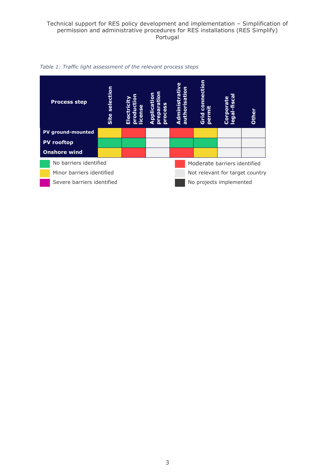

*Table 1: Traffic light assessment of the relevant process steps*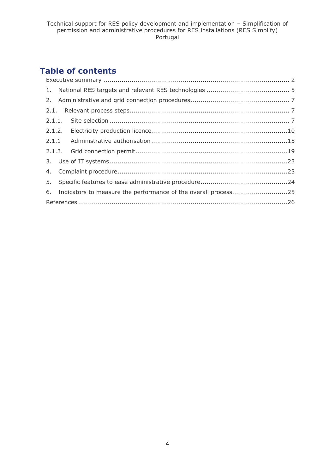# **Table of contents**

| 6. Indicators to measure the performance of the overall process25 |  |
|-------------------------------------------------------------------|--|
|                                                                   |  |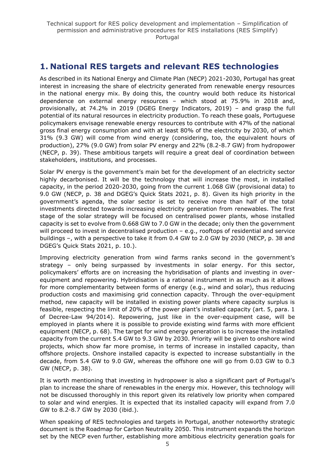# <span id="page-4-0"></span>**1. National RES targets and relevant RES technologies**

As described in its National Energy and Climate Plan (NECP) 2021-2030, Portugal has great interest in increasing the share of electricity generated from renewable energy resources in the national energy mix. By doing this, the country would both reduce its historical dependence on external energy resources – which stood at 75.9% in 2018 and, provisionally, at 74.2% in 2019 (DGEG Energy Indicators, 2019) – and grasp the full potential of its natural resources in electricity production. To reach these goals, Portuguese policymakers envisage renewable energy resources to contribute with 47% of the national gross final energy consumption and with at least 80% of the electricity by 2030, of which 31% (9.3 GW) will come from wind energy (considering, too, the equivalent hours of production), 27% (9.0 GW) from solar PV energy and 22% (8.2-8.7 GW) from hydropower (NECP, p. 39). These ambitious targets will require a great deal of coordination between stakeholders, institutions, and processes.

Solar PV energy is the government's main bet for the development of an electricity sector highly decarbonised. It will be the technology that will increase the most, in installed capacity, in the period 2020-2030, going from the current 1.068 GW (provisional data) to 9.0 GW (NECP, p. 38 and DGEG's Quick Stats 2021, p. 8). Given its high priority in the government's agenda, the solar sector is set to receive more than half of the total investments directed towards increasing electricity generation from renewables. The first stage of the solar strategy will be focused on centralised power plants, whose installed capacity is set to evolve from 0.668 GW to 7.0 GW in the decade; only then the government will proceed to invest in decentralised production - e.g., rooftops of residential and service buildings –, with a perspective to take it from 0.4 GW to 2.0 GW by 2030 (NECP, p. 38 and DGEG's Quick Stats 2021, p. 10.).

Improving electricity generation from wind farms ranks second in the government's strategy – only being surpassed by investments in solar energy. For this sector, policymakers' efforts are on increasing the hybridisation of plants and investing in overequipment and repowering. Hybridisation is a rational instrument in as much as it allows for more complementarity between forms of energy (e.g., wind and solar), thus reducing production costs and maximising grid connection capacity. Through the over-equipment method, new capacity will be installed in existing power plants where capacity surplus is feasible, respecting the limit of 20% of the power plant's installed capacity (art. 5, para. 1 of Decree-Law 94/2014). Repowering, just like in the over-equipment case, will be employed in plants where it is possible to provide existing wind farms with more efficient equipment (NECP, p. 68). The target for wind energy generation is to increase the installed capacity from the current 5.4 GW to 9.3 GW by 2030. Priority will be given to onshore wind projects, which show far more promise, in terms of increase in installed capacity, than offshore projects. Onshore installed capacity is expected to increase substantially in the decade, from 5.4 GW to 9.0 GW, whereas the offshore one will go from 0.03 GW to 0.3 GW (NECP, p. 38).

It is worth mentioning that investing in hydropower is also a significant part of Portugal's plan to increase the share of renewables in the energy mix. However, this technology will not be discussed thoroughly in this report given its relatively low priority when compared to solar and wind energies. It is expected that its installed capacity will expand from 7.0 GW to 8.2-8.7 GW by 2030 (ibid.).

When speaking of RES technologies and targets in Portugal, another noteworthy strategic document is the Roadmap for Carbon Neutrality 2050. This instrument expands the horizon set by the NECP even further, establishing more ambitious electricity generation goals for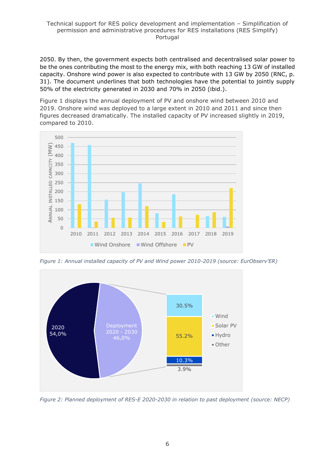2050. By then, the government expects both centralised and decentralised solar power to be the ones contributing the most to the energy mix, with both reaching 13 GW of installed capacity. Onshore wind power is also expected to contribute with 13 GW by 2050 (RNC, p. 31). The document underlines that both technologies have the potential to jointly supply 50% of the electricity generated in 2030 and 70% in 2050 (ibid.).

Figure 1 displays the annual deployment of PV and onshore wind between 2010 and 2019. Onshore wind was deployed to a large extent in 2010 and 2011 and since then figures decreased dramatically. The installed capacity of PV increased slightly in 2019, compared to 2010.



*Figure 1: Annual installed capacity of PV and Wind power 2010-2019 (source: EurObserv'ER)*



*Figure 2: Planned deployment of RES-E 2020-2030 in relation to past deployment (source: NECP)*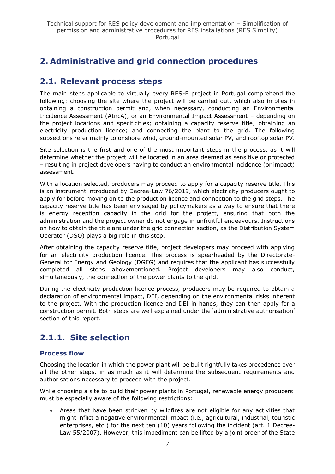# <span id="page-6-0"></span>**2. Administrative and grid connection procedures**

# <span id="page-6-1"></span>**2.1. Relevant process steps**

The main steps applicable to virtually every RES-E project in Portugal comprehend the following: choosing the site where the project will be carried out, which also implies in obtaining a construction permit and, when necessary, conducting an Environmental Incidence Assessment (AIncA), or an Environmental Impact Assessment – depending on the project locations and specificities; obtaining a capacity reserve title; obtaining an electricity production licence; and connecting the plant to the grid. The following subsections refer mainly to onshore wind, ground-mounted solar PV, and rooftop solar PV.

Site selection is the first and one of the most important steps in the process, as it will determine whether the project will be located in an area deemed as sensitive or protected – resulting in project developers having to conduct an environmental incidence (or impact) assessment.

With a location selected, producers may proceed to apply for a capacity reserve title. This is an instrument introduced by Decree-Law 76/2019, which electricity producers ought to apply for before moving on to the production licence and connection to the grid steps. The capacity reserve title has been envisaged by policymakers as a way to ensure that there is energy reception capacity in the grid for the project, ensuring that both the administration and the project owner do not engage in unfruitful endeavours. Instructions on how to obtain the title are under the grid connection section, as the Distribution System Operator (DSO) plays a big role in this step.

After obtaining the capacity reserve title, project developers may proceed with applying for an electricity production licence. This process is spearheaded by the Directorate-General for Energy and Geology (DGEG) and requires that the applicant has successfully completed all steps abovementioned. Project developers may also conduct, simultaneously, the connection of the power plants to the grid.

During the electricity production licence process, producers may be required to obtain a declaration of environmental impact, DEI, depending on the environmental risks inherent to the project. With the production licence and DEI in hands, they can then apply for a construction permit. Both steps are well explained under the 'administrative authorisation' section of this report.

# <span id="page-6-2"></span>**2.1.1. Site selection**

## **Process flow**

Choosing the location in which the power plant will be built rightfully takes precedence over all the other steps, in as much as it will determine the subsequent requirements and authorisations necessary to proceed with the project.

While choosing a site to build their power plants in Portugal, renewable energy producers must be especially aware of the following restrictions:

• Areas that have been stricken by wildfires are not eligible for any activities that might inflict a negative environmental impact (i.e., agricultural, industrial, touristic enterprises, etc.) for the next ten (10) years following the incident (art. 1 [Decree-](https://dre.pt/pesquisa/-/search/518444/details/maximized)[Law 55/2007\)](https://dre.pt/pesquisa/-/search/518444/details/maximized). However, this impediment can be lifted by a joint order of the State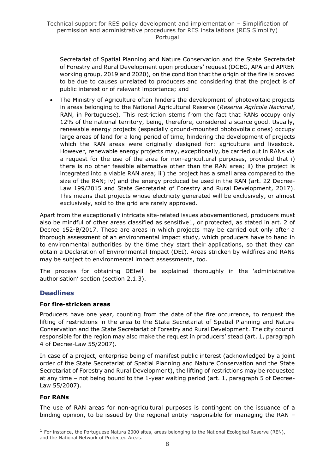Secretariat of Spatial Planning and Nature Conservation and the State Secretariat of Forestry and Rural Development upon producers' request (DGEG, APA and APREN working group, 2019 and 2020), on the condition that the origin of the fire is proved to be due to causes unrelated to producers and considering that the project is of public interest or of relevant importance; and

• The Ministry of Agriculture often hinders the development of photovoltaic projects in areas belonging to the National Agricultural Reserve (*Reserva Agrícola Nacional*, RAN, in Portuguese). This restriction stems from the fact that RANs occupy only 12% of the national territory, being, therefore, considered a scarce good. Usually, renewable energy projects (especially ground-mounted photovoltaic ones) occupy large areas of land for a long period of time, hindering the development of projects which the RAN areas were originally designed for: agriculture and livestock. However, renewable energy projects may, exceptionally, be carried out in RANs via a request for the use of the area for non-agricultural purposes, provided that i) there is no other feasible alternative other than the RAN area; ii) the project is integrated into a viable RAN area; iii) the project has a small area compared to the size of the RAN; iv) and the energy produced be used in the RAN (art. 22 [Decree-](https://dre.pt/application/conteudo/70309902)[Law 199/2015](https://dre.pt/application/conteudo/70309902) and [State Secretariat of Forestry and Rural Development, 2017\)](https://ran.drapc.gov.pt/docs/Instalacao_Parques_Energias_Renovaveis.pdf). This means that projects whose electricity generated will be exclusively, or almost exclusively, sold to the grid are rarely approved.

Apart from the exceptionally intricate site-related issues abovementioned, producers must also be mindful of other areas classified as sensitive1, or protected, as stated in art. 2 of [Decree 152-B/2017.](https://dre.pt/pesquisa/-/search/114337013/details/maximized) These are areas in which projects may be carried out only after a thorough assessment of an environmental impact study, which producers have to hand in to environmental authorities by the time they start their applications, so that they can obtain a Declaration of Environmental Impact (DEI). Areas stricken by wildfires and RANs may be subject to environmental impact assessments, too.

The process for obtaining DEIwill be explained thoroughly in the 'administrative authorisation' section (section 2.1.3).

# **Deadlines**

#### **For fire-stricken areas**

Producers have one year, counting from the date of the fire occurrence, to request the lifting of restrictions in the area to the State Secretariat of Spatial Planning and Nature Conservation and the State Secretariat of Forestry and Rural Development. The city council responsible for the region may also make the request in producers' stead (art. 1, paragraph 4 of Decree-Law 55/2007).

In case of a project, enterprise being of manifest public interest (acknowledged by a joint order of the State Secretariat of Spatial Planning and Nature Conservation and the State Secretariat of Forestry and Rural Development), the lifting of restrictions may be requested at any time – not being bound to the 1-year waiting period (art. 1, paragraph 5 of Decree-Law 55/2007).

## **For RANs**

The use of RAN areas for non-agricultural purposes is contingent on the issuance of a binding opinion, to be issued by the regional entity responsible for managing the RAN –

 $<sup>1</sup>$  For instance, the Portuguese Natura 2000 sites, areas belonging to the National Ecological Reserve (REN),</sup> and the National Network of Protected Areas.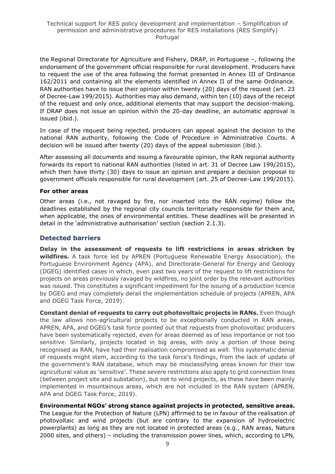the Regional Directorate for Agriculture and Fishery, DRAP, in Portuguese –, following the endorsement of the government official responsible for rural development. Producers have to request the use of the area following the format presented in Annex III of [Ordinance](https://dre.pt/pesquisa/-/search/276815/details/maximized)  [162/2011](https://dre.pt/pesquisa/-/search/276815/details/maximized) and containing all the elements identified in Annex II of the same Ordinance. RAN authorities have to issue their opinion within twenty (20) days of the request (art. 23 of Decree-Law 199/2015). Authorities may also demand, within ten (10) days of the receipt of the request and only once, additional elements that may support the decision-making. If DRAP does not issue an opinion within the 20-day deadline, an automatic approval is issued (ibid.).

In case of the request being rejected, producers can appeal against the decision to the national RAN authority, following the [Code of Procedure in Administrative Courts.](https://dre.pt/legislacao-consolidada/-/lc/34464475/view?w=2015-10-02) A decision will be issued after twenty (20) days of the appeal submission (ibid.).

After assessing all documents and issuing a favourable opinion, the RAN regional authority forwards its report to national RAN authorities (listed in art. 31 of [Decree Law](https://dre.pt/application/conteudo/70309902) 199/2015), which then have thirty (30) days to issue an opinion and prepare a decision proposal to government officials responsible for rural development (art. 25 of Decree-Law 199/2015).

#### **For other areas**

Other areas (i.e., not ravaged by fire, nor inserted into the RAN regime) follow the deadlines established by the regional city councils territorially responsible for them and, when applicable, the ones of environmental entities. These deadlines will be presented in detail in the 'administrative authorisation' section (section 2.1.3).

#### **Detected barriers**

**Delay in the assessment of requests to lift restrictions in areas stricken by wildfires.** A task force led by APREN (Portuguese Renewable Energy Association), the Portuguese Environment Agency (APA), and Directorate-General for Energy and Geology (DGEG) identified cases in which, even past two years of the request to lift restrictions for projects on areas previously ravaged by wildfires, no joint order by the relevant authorities was issued. This constitutes a significant impediment for the issuing of a production licence by DGEG and may completely derail the implementation schedule of projects (APREN, APA and DGEG Task Force, 2019).

**Constant denial of requests to carry out photovoltaic projects in RANs.** Even though the law allows non-agricultural projects to be exceptionally conducted in RAN areas, APREN, APA, and DGEG's task force pointed out that requests from photovoltaic producers have been systematically rejected, even for areas deemed as of less importance or not too sensitive. Similarly, projects located in big areas, with only a portion of those being recognised as RAN, have had their realisation compromised as well. This systematic denial of requests might stem, according to the task force's findings, from the lack of update of the government's RAN database, which may be misclassifying areas known for their low agricultural value as 'sensitive'. These severe restrictions also apply to grid connection lines (between project site and substation), but not to wind projects, as these have been mainly implemented in mountainous areas, which are not included in the RAN system (APREN, APA and DGEG Task Force, 2019).

**Environmental NGOs' strong stance against projects in protected, sensitive areas.** The League for the Protection of Nature (LPN) affirmed to be in favour of the realisation of photovoltaic and wind projects (but are contrary to the expansion of hydroelectric powerplants) as long as they are not located in protected areas (e.g., RAN areas, Natura 2000 sites, and others) – including the transmission power lines, which, according to LPN,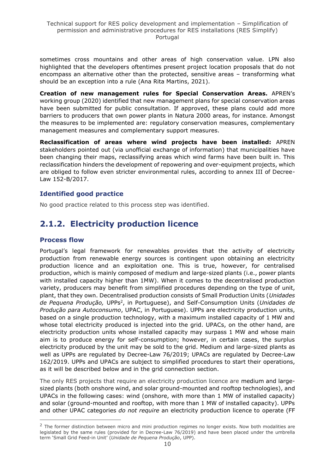sometimes cross mountains and other areas of high conservation value. LPN also highlighted that the developers oftentimes present project location proposals that do not encompass an alternative other than the protected, sensitive areas – transforming what should be an exception into a rule (Ana Rita Martins, 2021).

**Creation of new management rules for Special Conservation Areas.** APREN's working group (2020) identified that new management plans for special conservation areas have been submitted for public consultation. If approved, these plans could add more barriers to producers that own power plants in Natura 2000 areas, for instance. Amongst the measures to be implemented are: regulatory conservation measures, complementary management measures and complementary support measures.

**Reclassification of areas where wind projects have been installed:** APREN stakeholders pointed out (via unofficial exchange of information) that municipalities have been changing their maps, reclassifying areas which wind farms have been built in. This reclassification hinders the development of repowering and over-equipment projects, which are obliged to follow even stricter environmental rules, according to annex III of Decree-Law 152-B/2017.

## **Identified good practice**

No good practice related to this process step was identified.

# <span id="page-9-0"></span>**2.1.2. Electricity production licence**

#### **Process flow**

Portugal's legal framework for renewables provides that the activity of electricity production from renewable energy sources is contingent upon obtaining an electricity production licence and an exploitation one. This is true, however, for centralised production, which is mainly composed of medium and large-sized plants (i.e., power plants with installed capacity higher than 1MW). When it comes to the decentralised production variety, producers may benefit from simplified procedures depending on the type of unit, plant, that they own. Decentralised production consists of Small Production Units (*Unidades de Pequena Produção,* UPPs<sup>2</sup> , in Portuguese), and Self-Consumption Units (*Unidades de Produção para Autoconsumo*, UPAC, in Portuguese). UPPs are electricity production units, based on a single production technology, with a maximum installed capacity of 1 MW and whose total electricity produced is injected into the grid. UPACs, on the other hand, are electricity production units whose installed capacity may surpass 1 MW and whose main aim is to produce energy for self-consumption; however, in certain cases, the surplus electricity produced by the unit may be sold to the grid. Medium and large-sized plants as well as UPPs are regulated by [Decree-Law 76/2019;](https://dre.pt/home/-/dre/122476954/details/maximized) UPACs are regulated by [Decree-Law](https://dre.pt/pesquisa/-/search/125692189/details/maximized)  [162/2019.](https://dre.pt/pesquisa/-/search/125692189/details/maximized) UPPs and UPACs are subject to simplified procedures to start their operations, as it will be described below and in the grid connection section.

The only RES projects that require an electricity production licence are medium and largesized plants (both onshore wind, and solar ground-mounted and rooftop technologies), and UPACs in the following cases: wind (onshore, with more than 1 MW of installed capacity) and solar (ground-mounted and rooftop, with more than 1 MW of installed capacity). UPPs and other UPAC categories *do not require* an electricity production licence to operate (FF

 $<sup>2</sup>$  The former distinction between micro and mini production regimes no longer exists. Now both modalities are</sup> legislated by the same rules (provided for in Decree-Law 76/2019) and have been placed under the umbrella term 'Small Grid Feed-in Unit' (*Unidade de Pequena Produção*, UPP).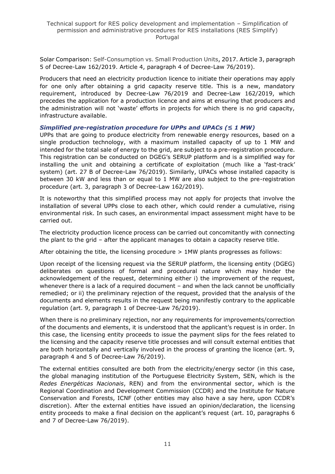Solar Comparison: Self-Consumption vs. Small Production Units, 2017. Article 3, paragraph 5 of Decree-Law 162/2019. Article 4, paragraph 4 of Decree-Law 76/2019).

Producers that need an electricity production licence to initiate their operations may apply for one only after obtaining a grid capacity reserve title. This is a new, mandatory requirement, introduced by Decree-Law 76/2019 and Decree-Law 162/2019, which precedes the application for a production licence and aims at ensuring that producers and the administration will not 'waste' efforts in projects for which there is no grid capacity, infrastructure available.

#### *Simplified pre-registration procedure for UPPs and UPACs (≤ 1 MW)*

UPPs that are going to produce electricity from renewable energy resources, based on a single production technology, with a maximum installed capacity of up to 1 MW and intended for the total sale of energy to the grid, are subject to a pre-registration procedure. This registration can be conducted on DGEG's [SERUP platform](https://www.dgeg.gov.pt/?cn=636364478673AAAAAAAAAAAA) and is a simplified way for installing the unit and obtaining a certificate of exploitation (much like a 'fast-track' system) (art. 27 B of Decree-Law 76/2019). Similarly, UPACs whose installed capacity is between 30 kW and less than or equal to 1 MW are also subject to the pre-registration procedure (art. 3, paragraph 3 of Decree-Law 162/2019).

It is noteworthy that this simplified process may not apply for projects that involve the installation of several UPPs close to each other, which could render a cumulative, rising environmental risk. In such cases, an environmental impact assessment might have to be carried out.

The electricity production licence process can be carried out concomitantly with connecting the plant to the grid – after the applicant manages to obtain a capacity reserve title.

After obtaining the title, the licensing procedure > 1MW plants progresses as follows:

Upon receipt of the licensing request via the [SERUP platform,](https://www.dgeg.gov.pt/?cn=636364478673AAAAAAAAAAAA) the licensing entity (DGEG) deliberates on questions of formal and procedural nature which may hinder the acknowledgement of the request, determining either i) the improvement of the request, whenever there is a lack of a required document - and when the lack cannot be unofficially remedied; or ii) the preliminary rejection of the request, provided that the analysis of the documents and elements results in the request being manifestly contrary to the applicable regulation (art. 9, paragraph 1 of Decree-Law 76/2019).

When there is no preliminary rejection, nor any requirements for improvements/correction of the documents and elements, it is understood that the applicant's request is in order. In this case, the licensing entity proceeds to issue the payment slips for the fees related to the licensing and the capacity reserve title processes and will consult external entities that are both horizontally and vertically involved in the process of granting the licence (art. 9, paragraph 4 and 5 of Decree-Law 76/2019).

The external entities consulted are both from the electricity/energy sector (in this case, the global managing institution of the Portuguese Electricity System, SEN, which is the *Redes Energéticas Nacionais*, REN) and from the environmental sector, which is the Regional Coordination and Development Commission (CCDR) and the Institute for Nature Conservation and Forests, ICNF (other entities may also have a say here, upon CCDR's discretion). After the external entities have issued an opinion/declaration, the licensing entity proceeds to make a final decision on the applicant's request (art. 10, paragraphs 6 and 7 of Decree-Law 76/2019).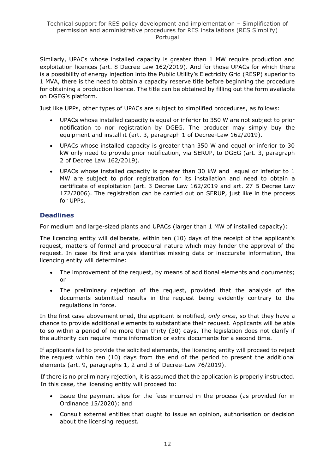Similarly, UPACs whose installed capacity is greater than 1 MW require production and exploitation licences [\(art. 8 Decree Law 162/2019\)](https://dre.pt/web/guest/pesquisa/-/search/125692189/details/normal?q=decreto+lei+162%2F2019). And for those UPACs for which there is a possibility of energy injection into the Public Utility's Electricity Grid (RESP) superior to 1 MVA, there is the need to obtain a capacity reserve title before beginning the procedure for obtaining a production licence. The title can be obtained by filling out the form available on [DGEG's platform](https://sriesp.dgeg.gov.pt/DGEG/formulario/reservaCapacidade.jsp?cpp=1).

Just like UPPs, other types of UPACs are subject to simplified procedures, as follows:

- UPACs whose installed capacity is equal or inferior to 350 W are not subject to prior notification to nor registration by DGEG. The producer may simply buy the equipment and install it (art. 3, paragraph 1 of Decree-Law 162/2019).
- UPACs whose installed capacity is greater than 350 W and equal or inferior to 30 kW only need to provide prior notification, via [SERUP,](https://www.dgeg.gov.pt/?cn=636364478673AAAAAAAAAAAA) to DGEG (art. 3, paragraph 2 of Decree Law 162/2019).
- UPACs whose installed capacity is greater than 30 kW and equal or inferior to 1 MW are subject to prior registration for its installation and need to obtain a certificate of exploitation [\(art. 3 Decree Law 162/2019](https://dre.pt/web/guest/pesquisa/-/search/125692189/details/normal?q=decreto+lei+162%2F2019) and [art. 27 B Decree Law](https://dre.pt/web/guest/pesquisa/-/search/540627/details/normal?l=1)  [172/2006\)](https://dre.pt/web/guest/pesquisa/-/search/540627/details/normal?l=1). The registration can be carried out on [SERUP,](https://www.dgeg.gov.pt/?cn=636364478673AAAAAAAAAAAA) just like in the process for UPPs.

# **Deadlines**

For medium and large-sized plants and UPACs (larger than 1 MW of installed capacity):

The licencing entity will deliberate, within ten (10) days of the receipt of the applicant's request, matters of formal and procedural nature which may hinder the approval of the request. In case its first analysis identifies missing data or inaccurate information, the licencing entity will determine:

- The improvement of the request, by means of additional elements and documents; or
- The preliminary rejection of the request, provided that the analysis of the documents submitted results in the request being evidently contrary to the regulations in force.

In the first case abovementioned, the applicant is notified, *only once*, so that they have a chance to provide additional elements to substantiate their request. Applicants will be able to so within a period of no more than thirty (30) days. The legislation does not clarify if the authority can require more information or extra documents for a second time.

If applicants fail to provide the solicited elements, the licencing entity will proceed to reject the request within ten (10) days from the end of the period to present the additional elements (art. 9, paragraphs 1, 2 and 3 of Decree-Law 76/2019).

If there is no preliminary rejection, it is assumed that the application is properly instructed. In this case, the licensing entity will proceed to:

- Issue the payment slips for the fees incurred in the process (as provided for in [Ordinance 15/2020\)](https://www.dgeg.gov.pt/media/fhabciyu/2020_portaria15_taxasupp.pdf); and
- Consult external entities that ought to issue an opinion, authorisation or decision about the licensing request.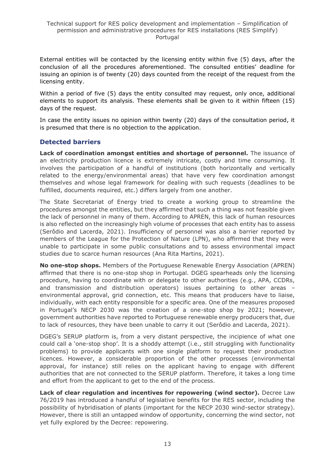External entities will be contacted by the licensing entity within five (5) days, after the conclusion of all the procedures aforementioned. The consulted entities' deadline for issuing an opinion is of twenty (20) days counted from the receipt of the request from the licensing entity.

Within a period of five (5) days the entity consulted may request, only once, additional elements to support its analysis. These elements shall be given to it within fifteen (15) days of the request.

In case the entity issues no opinion within twenty (20) days of the consultation period, it is presumed that there is no objection to the application.

# **Detected barriers**

**Lack of coordination amongst entities and shortage of personnel.** The issuance of an electricity production licence is extremely intricate, costly and time consuming. It involves the participation of a handful of institutions (both horizontally and vertically related to the energy/environmental areas) that have very few coordination amongst themselves and whose legal framework for dealing with such requests (deadlines to be fulfilled, documents required, etc.) differs largely from one another.

The State Secretariat of Energy tried to create a working group to streamline the procedures amongst the entities, but they affirmed that such a thing was not feasible given the lack of personnel in many of them. According to APREN, this lack of human resources is also reflected on the increasingly high volume of processes that each entity has to assess (Serôdio and Lacerda, 2021). Insufficiency of personnel was also a barrier reported by members of the League for the Protection of Nature (LPN), who affirmed that they were unable to participate in some public consultations and to assess environmental impact studies due to scarce human resources (Ana Rita Martins, 2021).

**No one-stop shops.** Members of the Portuguese Renewable Energy Association (APREN) affirmed that there is no one-stop shop in Portugal. DGEG spearheads only the licensing procedure, having to coordinate with or delegate to other authorities (e.g., APA, CCDRs, and transmission and distribution operators) issues pertaining to other areas – environmental approval, grid connection, etc. This means that producers have to liaise, individually, with each entity responsible for a specific area. One of the measures proposed in Portugal's NECP 2030 was the creation of a one-stop shop by 2021; however, government authorities have reported to Portuguese renewable energy producers that, due to lack of resources, they have been unable to carry it out (Serôdio and Lacerda, 2021).

DGEG's SERUP platform is, from a very distant perspective, the incipience of what one could call a 'one-stop shop'. It is a shoddy attempt (i.e., still struggling with functionality problems) to provide applicants with one single platform to request their production licences. However, a considerable proportion of the other processes (environmental approval, for instance) still relies on the applicant having to engage with different authorities that are not connected to the SERUP platform. Therefore, it takes a long time and effort from the applicant to get to the end of the process.

**Lack of clear regulation and incentives for repowering (wind sector).** Decree Law 76/2019 has introduced a handful of legislative benefits for the RES sector, including the possibility of hybridisation of plants (important for the NECP 2030 wind-sector strategy). However, there is still an untapped window of opportunity, concerning the wind sector, not yet fully explored by the Decree: repowering.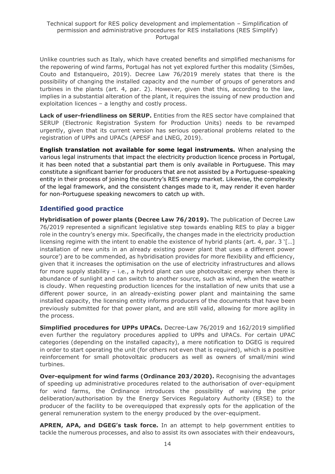Unlike countries such as Italy, which have created benefits and simplified mechanisms for the repowering of wind farms, Portugal has not yet explored further this modality (Simões, Couto and Estanqueiro, 2019). Decree Law 76/2019 merely states that there is the possibility of changing the installed capacity and the number of groups of generators and turbines in the plants (art. 4, par. 2). However, given that this, according to the law, implies in a substantial alteration of the plant, it requires the issuing of new production and exploitation licences – a lengthy and costly process.

**Lack of user-friendliness on SERUP.** Entities from the RES sector have complained that SERUP (Electronic Registration System for Production Units) needs to be revamped urgently, given that its current version has serious operational problems related to the registration of UPPs and UPACs (APESF and LNEG, 2019).

**English translation not available for some legal instruments.** When analysing the various legal instruments that impact the electricity production licence process in Portugal, it has been noted that a substantial part them is only available in Portuguese. This may constitute a significant barrier for producers that are not assisted by a Portuguese-speaking entity in their process of joining the country's RES energy market. Likewise, the complexity of the legal framework, and the consistent changes made to it, may render it even harder for non-Portuguese speaking newcomers to catch up with.

# **Identified good practice**

**Hybridisation of power plants (Decree Law 76/2019).** The publication of Decree Law 76/2019 represented a significant legislative step towards enabling RES to play a bigger role in the country's energy mix. Specifically, the changes made in the electricity production licensing regime with the intent to enable the existence of hybrid plants (art. 4, par. 3 '[…] installation of new units in an already existing power plant that uses a different power source') are to be commended, as hybridisation provides for more flexibility and efficiency, given that it increases the optimisation on the use of electricity infrastructures and allows for more supply stability  $-$  i.e., a hybrid plant can use photovoltaic energy when there is abundance of sunlight and can switch to another source, such as wind, when the weather is cloudy. When requesting production licences for the installation of new units that use a different power source, in an already-existing power plant and maintaining the same installed capacity, the licensing entity informs producers of the documents that have been previously submitted for that power plant, and are still valid, allowing for more agility in the process.

**Simplified procedures for UPPs UPACs.** Decree-Law 76/2019 and 162/2019 simplified even further the regulatory procedures applied to UPPs and UPACs. For certain UPAC categories (depending on the installed capacity), a mere notification to DGEG is required in order to start operating the unit (for others not even that is required), which is a positive reinforcement for small photovoltaic producers as well as owners of small/mini wind turbines.

**Over-equipment for wind farms (Ordinance 203/2020).** Recognising the advantages of speeding up administrative procedures related to the authorisation of over-equipment for wind farms, the Ordinance introduces the possibility of waiving the prior deliberation/authorisation by the Energy Services Regulatory Authority (ERSE) to the producer of the facility to be overequipped that expressly opts for the application of the general remuneration system to the energy produced by the over-equipment.

**APREN, APA, and DGEG's task force.** In an attempt to help government entities to tackle the numerous processes, and also to assist its own associates with their endeavours,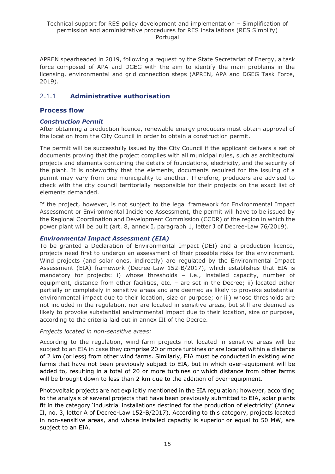APREN spearheaded in 2019, following a request by the State Secretariat of Energy, a task force composed of APA and DGEG with the aim to identify the main problems in the licensing, environmental and grid connection steps (APREN, APA and DGEG Task Force, 2019).

# <span id="page-14-0"></span>2.1.1 **Administrative authorisation**

### **Process flow**

### *Construction Permit*

After obtaining a production licence, renewable energy producers must obtain approval of the location from the City Council in order to obtain a construction permit.

The permit will be successfully issued by the City Council if the applicant delivers a set of documents proving that the project complies with all municipal rules, such as architectural projects and elements containing the details of foundations, electricity, and the security of the plant. It is noteworthy that the elements, documents required for the issuing of a permit may vary from one municipality to another. Therefore, producers are advised to check with the city council territorially responsible for their projects on the exact list of elements demanded.

If the project, however, is not subject to the legal framework for Environmental Impact Assessment or Environmental Incidence Assessment, the permit will have to be issued by the Regional Coordination and Development Commission (CCDR) of the region in which the power plant will be built (art. 8, annex I, paragraph 1, letter J of Decree-Law 76/2019).

#### *Environmental Impact Assessment (EIA)*

To be granted a Declaration of Environmental Impact (DEI) and a production licence, projects need first to undergo an assessment of their possible risks for the environment. Wind projects (and solar ones, indirectly) are regulated by the Environmental Impact Assessment (EIA) framework (Decree-Law 152-B/2017), which establishes that EIA is mandatory for projects: i) whose thresholds – i.e., installed capacity, number of equipment, distance from other facilities, etc. – are set in the Decree; ii) located either partially or completely in sensitive areas and are deemed as likely to provoke substantial environmental impact due to their location, size or purpose; or iii) whose thresholds are not included in the regulation, nor are located in sensitive areas, but still are deemed as likely to provoke substantial environmental impact due to their location, size or purpose, according to the criteria laid out in annex III of the Decree.

#### *Projects located in non-sensitive areas:*

According to the regulation, wind-farm projects not located in sensitive areas will be subject to an EIA in case they comprise 20 or more turbines or are located within a distance of 2 km (or less) from other wind farms. Similarly, EIA must be conducted in existing wind farms that have not been previously subject to EIA, but in which over-equipment will be added to, resulting in a total of 20 or more turbines or which distance from other farms will be brought down to less than 2 km due to the addition of over-equipment.

Photovoltaic projects are not explicitly mentioned in the EIA regulation; however, according to the analysis of several projects that have been previously submitted to EIA, solar plants fit in the category 'industrial installations destined for the production of electricity' (Annex II, no. 3, letter A of [Decree-Law 152-B/2017\)](https://dre.pt/application/conteudo/114337013). According to this category, projects located in non-sensitive areas, and whose installed capacity is superior or equal to 50 MW, are subject to an EIA.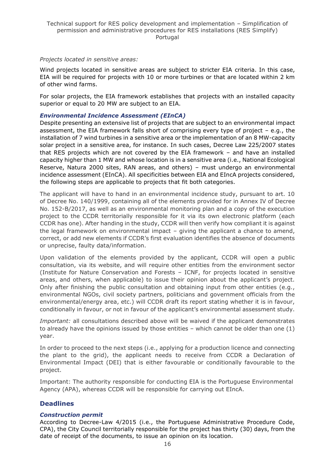#### *Projects located in sensitive areas:*

Wind projects located in sensitive areas are subject to stricter EIA criteria. In this case, EIA will be required for projects with 10 or more turbines or that are located within 2 km of other wind farms.

For solar projects, the EIA framework establishes that projects with an installed capacity superior or equal to 20 MW are subject to an EIA.

#### *Environmental Incidence Assessment (EInCA)*

Despite presenting an extensive list of projects that are subject to an environmental impact assessment, the EIA framework falls short of comprising every type of project – e.g., the installation of 7 wind turbines in a sensitive area or the implementation of an 8 MW-capacity solar project in a sensitive area, for instance. In such cases, [Decree Law 225/2007](https://dre.pt/pesquisa/-/search/638769/details/maximized) states that RES projects which are not covered by the EIA framework – and have an installed capacity higher than 1 MW and whose location is in a sensitive area (i.e., National Ecological Reserve, Natura 2000 sites, RAN areas, and others) – must undergo an environmental incidence assessment (EInCA). All specificities between EIA and EIncA projects considered, the following steps are applicable to projects that fit both categories.

The applicant will have to hand in an environmental incidence study, pursuant to art. 10 of [Decree No. 140/1999,](https://dre.pt/web/guest/pesquisa/-/search/531828/details/normal?l=1) containing all of the elements provided for in Annex IV of Decree No. 152-B/2017, as well as an environmental monitoring plan and a copy of the execution project to the CCDR territorially responsible for it via its own electronic platform (each CCDR has one). After handing in the study, CCDR will then verify how compliant it is against the legal framework on environmental impact – giving the applicant a chance to amend, correct, or add new elements if CCDR's first evaluation identifies the absence of documents or unprecise, faulty data/information.

Upon validation of the elements provided by the applicant, CCDR will open a public consultation, via its website, and will require other entities from the environment sector (Institute for Nature Conservation and Forests – ICNF, for projects located in sensitive areas, and others, when applicable) to issue their opinion about the applicant's project. Only after finishing the public consultation and obtaining input from other entities (e.g., environmental NGOs, civil society partners, politicians and government officials from the environmental/energy area, etc.) will CCDR draft its report stating whether it is in favour, conditionally in favour, or not in favour of the applicant's environmental assessment study.

*Important:* all consultations described above will be waived if the applicant demonstrates to already have the opinions issued by those entities – which cannot be older than one (1) year.

In order to proceed to the next steps (i.e., applying for a production licence and connecting the plant to the grid), the applicant needs to receive from CCDR a Declaration of Environmental Impact (DEI) that is either favourable or conditionally favourable to the project.

Important: The authority responsible for conducting EIA is the Portuguese Environmental Agency (APA), whereas CCDR will be responsible for carrying out EIncA.

## **Deadlines**

#### *Construction permit*

According to Decree-Law 4/2015 (i.e., the Portuguese Administrative Procedure Code, CPA), the City Council territorially responsible for the project has thirty (30) days, from the date of receipt of the documents, to issue an opinion on its location.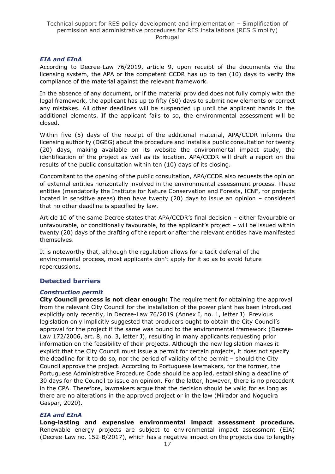### *EIA and EInA*

According to Decree-Law 76/2019, article 9, upon receipt of the documents via the licensing system, the APA or the competent CCDR has up to ten (10) days to verify the compliance of the material against the relevant framework.

In the absence of any document, or if the material provided does not fully comply with the legal framework, the applicant has up to fifty (50) days to submit new elements or correct any mistakes. All other deadlines will be suspended up until the applicant hands in the additional elements. If the applicant fails to so, the environmental assessment will be closed.

Within five (5) days of the receipt of the additional material, APA/CCDR informs the licensing authority (DGEG) about the procedure and installs a public consultation for twenty (20) days, making available on its website the environmental impact study, the identification of the project as well as its location. APA/CCDR will draft a report on the results of the public consultation within ten (10) days of its closing.

Concomitant to the opening of the public consultation, APA/CCDR also requests the opinion of external entities horizontally involved in the environmental assessment process. These entities (mandatorily the Institute for Nature Conservation and Forests, ICNF, for projects located in sensitive areas) then have twenty (20) days to issue an opinion – considered that no other deadline is specified by law.

Article 10 of the same Decree states that APA/CCDR's final decision – either favourable or unfavourable, or conditionally favourable, to the applicant's project – will be issued within twenty (20) days of the drafting of the report or after the relevant entities have manifested themselves.

It is noteworthy that, although the regulation allows for a tacit deferral of the environmental process, most applicants don't apply for it so as to avoid future repercussions.

## **Detected barriers**

#### *Construction permit*

**City Council process is not clear enough:** The requirement for obtaining the approval from the relevant City Council for the installation of the power plant has been introduced explicitly only recently, in Decree-Law 76/2019 [\(Annex I, no. 1, letter J\)](https://dre.pt/home/-/dre/122476954/details/maximized). Previous legislation only implicitly suggested that producers ought to obtain the City Council's approval for the project if the same was bound to the environmental framework [\(Decree-](https://dre.pt/pesquisa/-/search/540627/details/maximized)[Law 172/2006, art. 8, no. 3, letter J\)](https://dre.pt/pesquisa/-/search/540627/details/maximized), resulting in many applicants requesting prior information on the feasibility of their projects. Although the new legislation makes it explicit that the City Council must issue a permit for certain projects, it does not specify the deadline for it to do so, nor the period of validity of the permit – should the City Council approve the project. According to Portuguese lawmakers, for the former, the Portuguese Administrative Procedure Code should be applied, establishing a deadline of 30 days for the Council to issue an opinion. For the latter, however, there is no precedent in the CPA. Therefore, lawmakers argue that the decision should be valid for as long as there are no alterations in the approved project or in the law (Mirador and Nogueira Gaspar, 2020).

#### *EIA and EInA*

**Long-lasting and expensive environmental impact assessment procedure.**  Renewable energy projects are subject to environmental impact assessment (EIA) (Decree-Law no. 152-B/2017), which has a negative impact on the projects due to lengthy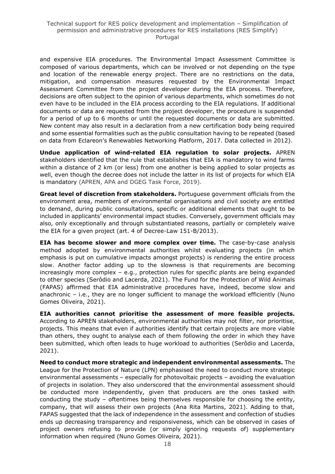and expensive EIA procedures. The Environmental Impact Assessment Committee is composed of various departments, which can be involved or not depending on the type and location of the renewable energy project. There are no restrictions on the data, mitigation, and compensation measures requested by the Environmental Impact Assessment Committee from the project developer during the EIA process. Therefore, decisions are often subject to the opinion of various departments, which sometimes do not even have to be included in the EIA process according to the EIA regulations. If additional documents or data are requested from the project developer, the procedure is suspended for a period of up to 6 months or until the requested documents or data are submitted. New content may also result in a declaration from a new certification body being required and some essential formalities such as the public consultation having to be repeated (based on data from Eclareon's Renewables Networking Platform, 2017. Data collected in 2012).

**Undue application of wind-related EIA regulation to solar projects.** APREN stakeholders identified that the rule that establishes that EIA is mandatory to wind farms within a distance of 2 km (or less) from one another is being applied to solar projects as well, even though the decree does not include the latter in its list of projects for which EIA is mandatory (APREN, APA and DGEG Task Force, 2019).

**Great level of discretion from stakeholders.** Portuguese government officials from the environment area, members of environmental organisations and civil society are entitled to demand, during public consultations, specific or additional elements that ought to be included in applicants' environmental impact studies. Conversely, government officials may also, only exceptionally and through substantiated reasons, partially or completely waive the EIA for a given project (art. 4 of Decree-Law 151-B/2013).

**EIA has become slower and more complex over time.** The case-by-case analysis method adopted by environmental authorities whilst evaluating projects (in which emphasis is put on cumulative impacts amongst projects) is rendering the entire process slow. Another factor adding up to the slowness is that requirements are becoming increasingly more complex – e.g., protection rules for specific plants are being expanded to other species (Serôdio and Lacerda, 2021). The Fund for the Protection of Wild Animals (FAPAS) affirmed that EIA administrative procedures have, indeed, become slow and anachronic – i.e., they are no longer sufficient to manage the workload efficiently (Nuno Gomes Oliveira, 2021).

**EIA authorities cannot prioritise the assessment of more feasible projects.**  According to APREN stakeholders, environmental authorities may not filter, nor prioritise, projects. This means that even if authorities identify that certain projects are more viable than others, they ought to analyse each of them following the order in which they have been submitted, which often leads to huge workload to authorities (Serôdio and Lacerda, 2021).

**Need to conduct more strategic and independent environmental assessments.** The League for the Protection of Nature (LPN) emphasised the need to conduct more strategic environmental assessments – especially for photovoltaic projects – avoiding the evaluation of projects in isolation. They also underscored that the environmental assessment should be conducted more independently, given that producers are the ones tasked with conducting the study – oftentimes being themselves responsible for choosing the entity, company, that will assess their own projects (Ana Rita Martins, 2021). Adding to that, FAPAS suggested that the lack of independence in the assessment and confection of studies ends up decreasing transparency and responsiveness, which can be observed in cases of project owners refusing to provide (or simply ignoring requests of) supplementary information when required (Nuno Gomes Oliveira, 2021).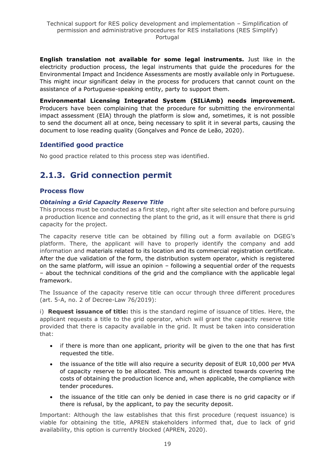**English translation not available for some legal instruments.** Just like in the electricity production process, the legal instruments that guide the procedures for the Environmental Impact and Incidence Assessments are mostly available only in Portuguese. This might incur significant delay in the process for producers that cannot count on the assistance of a Portuguese-speaking entity, party to support them.

**[Environmental Licensing Integrated System](https://siliamb.apambiente.pt/pages/public/login.xhtml) (SILiAmb) needs improvement.**  Producers have been complaining that the procedure for submitting the environmental impact assessment (EIA) through the platform is slow and, sometimes, it is not possible to send the document all at once, being necessary to split it in several parts, causing the document to lose reading quality (Gonçalves and Ponce de Leão, 2020).

# **Identified good practice**

No good practice related to this process step was identified.

# <span id="page-18-0"></span>**2.1.3. Grid connection permit**

#### **Process flow**

#### *Obtaining a Grid Capacity Reserve Title*

This process must be conducted as a first step, right after site selection and before pursuing a production licence and connecting the plant to the grid, as it will ensure that there is grid capacity for the project.

The capacity reserve title can be obtained by filling out a form available on [DGEG's](https://sriesp.dgeg.gov.pt/DGEG/formulario/reservaCapacidade.jsp?cpp=1)  [platform.](https://sriesp.dgeg.gov.pt/DGEG/formulario/reservaCapacidade.jsp?cpp=1) There, the applicant will have to properly identify the company and add information and materials related to its location and its commercial registration certificate. After the due validation of the form, the distribution system operator, which is registered on the same platform, will issue an opinion – following a sequential order of the requests – about the technical conditions of the grid and the compliance with the applicable legal framework.

The Issuance of the capacity reserve title can occur through three different procedures (art. 5-A, no. 2 of [Decree-Law 76/2019\)](https://dre.pt/web/guest/pesquisa/-/search/122476954/details/normal?q=76%2F2019):

i) **Request issuance of title:** this is the standard regime of issuance of titles. Here, the applicant requests a title to the grid operator, which will grant the capacity reserve title provided that there is capacity available in the grid. It must be taken into consideration that:

- if there is more than one applicant, priority will be given to the one that has first requested the title.
- the issuance of the title will also require a security deposit of EUR 10,000 per MVA of capacity reserve to be allocated. This amount is directed towards covering the costs of obtaining the production licence and, when applicable, the compliance with tender procedures.
- the issuance of the title can only be denied in case there is no grid capacity or if there is refusal, by the applicant, to pay the security deposit.

Important: Although the law establishes that this first procedure (request issuance) is viable for obtaining the title, APREN stakeholders informed that, due to lack of grid availability, this option is currently blocked (APREN, 2020).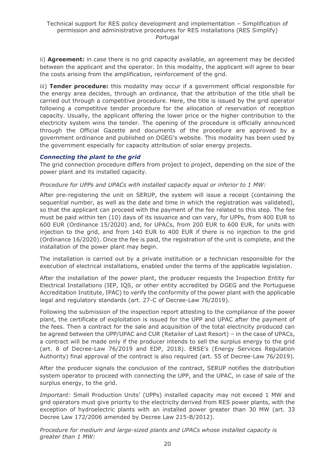ii) **Agreement:** in case there is no grid capacity available, an agreement may be decided between the applicant and the operator. In this modality, the applicant will agree to bear the costs arising from the amplification, reinforcement of the grid.

iii) **Tender procedure:** this modality may occur if a government official responsible for the energy area decides, through an ordinance, that the attribution of the title shall be carried out through a competitive procedure. Here, the title is issued by the grid operator following a competitive tender procedure for the allocation of reservation of reception capacity. Usually, the applicant offering the lower price or the higher contribution to the electricity system wins the tender. The opening of the procedure is officially announced through the Official Gazette and documents of the procedure are approved by a government ordinance and published on DGEG's website. This modality has been used by the government especially for capacity attribution of solar energy projects.

#### *Connecting the plant to the grid*

The grid connection procedure differs from project to project, depending on the size of the power plant and its installed capacity.

#### *Procedure for UPPs and UPACs with installed capacity equal or inferior to 1 MW:*

After pre-registering the unit on [SERUP,](https://www.dgeg.gov.pt/?cn=636364478673AAAAAAAAAAAA) the system will issue a receipt (containing the sequential number, as well as the date and time in which the registration was validated), so that the applicant can proceed with the payment of the fee related to this step. The fee must be paid within ten (10) days of its issuance and can vary, for UPPs, from 400 EUR to 600 EUR [\(Ordinance 15/2020\)](https://www.dgeg.gov.pt/media/fhabciyu/2020_portaria15_taxasupp.pdf) and, for UPACs, from 200 EUR to 600 EUR, for units with injection to the grid, and from 140 EUR to 400 EUR if there is no injection to the grid [\(Ordinance 16/2020\)](https://www.dgeg.gov.pt/media/bmxiftrx/2020_portaria16_taxasupac.pdf). Once the fee is paid, the registration of the unit is complete, and the installation of the power plant may begin.

The installation is carried out by a private institution or a technician responsible for the execution of electrical installations, enabled under the terms of the applicable legislation.

After the installation of the power plant, the producer requests the Inspection Entity for Electrical Installations (IEP, IQS, or other entity accredited by DGEG and the [Portuguese](http://www.ipac.pt/)  [Accreditation Institute, IPAC\)](http://www.ipac.pt/) to verify the conformity of the power plant with the applicable legal and regulatory standards (art. 27-C of Decree-Law 76/2019).

Following the submission of the inspection report attesting to the compliance of the power plant, the certificate of exploitation is issued for the UPP and UPAC after the payment of the fees. Then a contract for the sale and acquisition of the total electricity produced can be agreed between the UPP/UPAC and CUR (Retailer of Last Resort) – in the case of UPACs, a contract will be made only if the producer intends to sell the surplus energy to the grid (art. 8 of Decree-Law 76/2019 and EDP, 2018). ERSE's (Energy Services Regulation Authority) final approval of the contract is also required (art. 55 of Decree-Law 76/2019).

After the producer signals the conclusion of the contract, SERUP notifies the distribution system operator to proceed with connecting the UPP, and the UPAC, in case of sale of the surplus energy, to the grid.

*Important:* Small Production Units' (UPPs) installed capacity may not exceed 1 MW and grid operators must give priority to the electricity derived from RES power plants, with the exception of hydroelectric plants with an installed power greater than 30 MW [\(art. 33](https://dre.pt/pesquisa/-/search/540627/details/maximized)  [Decree Law 172/2006](https://dre.pt/pesquisa/-/search/540627/details/maximized) amended by [Decree Law 215-B/2012\)](https://dre.pt/web/guest/pesquisa/-/search/588861/details/normal?q=decreto+lei+215-b%2F2012).

*Procedure for medium and large-sized plants and UPACs whose installed capacity is greater than 1 MW:*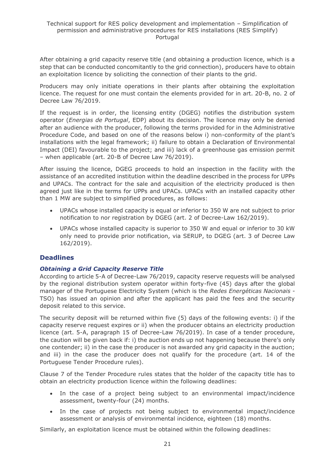After obtaining a grid capacity reserve title (and obtaining a production licence, which is a step that can be conducted concomitantly to the grid connection), producers have to obtain an exploitation licence by soliciting the connection of their plants to the grid.

Producers may only initiate operations in their plants after obtaining the exploitation licence. The request for one must contain the elements provided for in art. 20-B, no. 2 of [Decree Law 76/2019.](https://dre.pt/home/-/dre/122476954/details/maximized)

If the request is in order, the licensing entity (DGEG) notifies the distribution system operator (*Energias de Portugal*, EDP) about its decision. The licence may only be denied after an audience with the producer, following the terms provided for in the Administrative Procedure Code, and based on one of the reasons below i) non-conformity of the plant's installations with the legal framework; ii) failure to obtain a Declaration of Environmental Impact (DEI) favourable to the project; and iii) lack of a greenhouse gas emission permit – when applicable (art. 20-B of Decree Law 76/2019).

After issuing the licence, DGEG proceeds to hold an inspection in the facility with the assistance of an accredited institution within the deadline described in the process for UPPs and UPACs. The contract for the sale and acquisition of the electricity produced is then agreed just like in the terms for UPPs and UPACs. UPACs with an installed capacity other than 1 MW are subject to simplified procedures, as follows:

- UPACs whose installed capacity is equal or inferior to 350 W are not subject to prior notification to nor registration by DGEG [\(art. 2 of Decree-Law 162/2019\)](https://dre.pt/web/guest/pesquisa/-/search/125692189/details/normal?q=decreto+lei+162%2F2019).
- UPACs whose installed capacity is superior to 350 W and equal or inferior to 30 kW only need to provide prior notification, via [SERUP,](https://www.dgeg.gov.pt/?cn=636364478673AAAAAAAAAAAA) to DGEG [\(art. 3 of Decree Law](https://dre.pt/web/guest/pesquisa/-/search/125692189/details/normal?q=decreto+lei+162%2F2019)  [162/2019\)](https://dre.pt/web/guest/pesquisa/-/search/125692189/details/normal?q=decreto+lei+162%2F2019).

## **Deadlines**

#### *Obtaining a Grid Capacity Reserve Title*

According to article 5-A of Decree-Law 76/2019, capacity reserve requests will be analysed by the regional distribution system operator within forty-five (45) days after the global manager of the Portuguese Electricity System (which is the *Redes Energéticas Nacionais* - TSO) has issued an opinion and after the applicant has paid the fees and the security deposit related to this service.

The security deposit will be returned within five (5) days of the following events: i) if the capacity reserve request expires or ii) when the producer obtains an electricity production licence (art. 5-A, paragraph 15 of Decree-Law 76/2019). In case of a tender procedure, the caution will be given back if: i) the auction ends up not happening because there's only one contender; ii) in the case the producer is not awarded any grid capacity in the auction; and iii) in the case the producer does not qualify for the procedure (art. 14 of the Portuguese Tender Procedure rules).

Clause 7 of the Tender Procedure rules states that the holder of the capacity title has to obtain an electricity production licence within the following deadlines:

- In the case of a project being subject to an environmental impact/incidence assessment, twenty-four (24) months.
- In the case of projects not being subject to environmental impact/incidence assessment or analysis of environmental incidence, eighteen (18) months.

Similarly, an exploitation licence must be obtained within the following deadlines: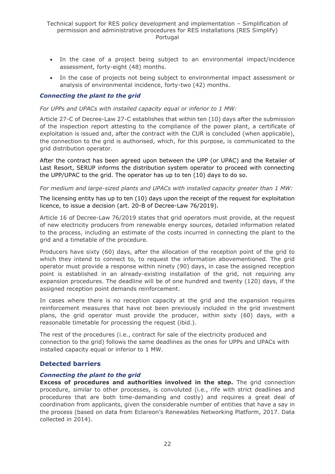- In the case of a project being subject to an environmental impact/incidence assessment, forty-eight (48) months.
- In the case of projects not being subject to environmental impact assessment or analysis of environmental incidence, forty-two (42) months.

#### *Connecting the plant to the grid*

#### *For UPPs and UPACs with installed capacity equal or inferior to 1 MW:*

Article 27-C of Decree-Law 27-C establishes that within ten (10) days after the submission of the inspection report attesting to the compliance of the power plant, a certificate of exploitation is issued and, after the contract with the CUR is concluded (when applicable), the connection to the grid is authorised, which, for this purpose, is communicated to the grid distribution operator.

After the contract has been agreed upon between the UPP (or UPAC) and the Retailer of Last Resort, SERUP informs the distribution system operator to proceed with connecting the UPP/UPAC to the grid. The operator has up to ten (10) days to do so.

#### *For medium and large-sized plants and UPACs with installed capacity greater than 1 MW:*

The licensing entity has up to ten (10) days upon the receipt of the request for exploitation licence, to issue a decision (art. 20-B of Decree-Law 76/2019).

Article 16 of Decree-Law 76/2019 states that grid operators must provide, at the request of new electricity producers from renewable energy sources, detailed information related to the process, including an estimate of the costs incurred in connecting the plant to the grid and a timetable of the procedure.

Producers have sixty (60) days, after the allocation of the reception point of the grid to which they intend to connect to, to request the information abovementioned. The grid operator must provide a response within ninety (90) days, in case the assigned reception point is established in an already-existing installation of the grid, not requiring any expansion procedures. The deadline will be of one hundred and twenty (120) days, if the assigned reception point demands reinforcement.

In cases where there is no reception capacity at the grid and the expansion requires reinforcement measures that have not been previously included in the grid investment plans, the grid operator must provide the producer, within sixty (60) days, with a reasonable timetable for processing the request (ibid.).

The rest of the procedures (i.e., contract for sale of the electricity produced and connection to the grid) follows the same deadlines as the ones for UPPs and UPACs with installed capacity equal or inferior to 1 MW.

#### **Detected barriers**

#### *Connecting the plant to the grid*

**Excess of procedures and authorities involved in the step.** The grid connection procedure, similar to other processes, is convoluted (i.e., rife with strict deadlines and procedures that are both time-demanding and costly) and requires a great deal of coordination from applicants, given the considerable number of entities that have a say in the process (based on data from Eclareon's Renewables Networking Platform, 2017. Data collected in 2014).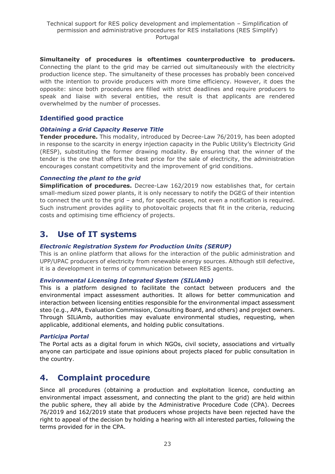**Simultaneity of procedures is oftentimes counterproductive to producers.** Connecting the plant to the grid may be carried out simultaneously with the electricity production licence step. The simultaneity of these processes has probably been conceived with the intention to provide producers with more time efficiency. However, it does the opposite: since both procedures are filled with strict deadlines and require producers to speak and liaise with several entities, the result is that applicants are rendered overwhelmed by the number of processes.

## **Identified good practice**

### *Obtaining a Grid Capacity Reserve Title*

**Tender procedure.** This modality, introduced by Decree-Law 76/2019, has been adopted in response to the scarcity in energy injection capacity in the Public Utility's Electricity Grid (RESP), substituting the former drawing modality. By ensuring that the winner of the tender is the one that offers the best price for the sale of electricity, the administration encourages constant competitivity and the improvement of grid conditions.

## *Connecting the plant to the grid*

**Simplification of procedures.** Decree-Law 162/2019 now establishes that, for certain small-medium sized power plants, it is only necessary to notify the DGEG of their intention to connect the unit to the grid – and, for specific cases, not even a notification is required. Such instrument provides agility to photovoltaic projects that fit in the criteria, reducing costs and optimising time efficiency of projects.

# <span id="page-22-0"></span>**3. Use of IT systems**

## *[Electronic Registration System for Production Units](https://www.dgeg.gov.pt/?cn=636364478673AAAAAAAAAAAA) (SERUP)*

This is an online platform that allows for the interaction of the public administration and UPP/UPAC producers of electricity from renewable energy sources. Although still defective, it is a development in terms of communication between RES agents.

#### *[Environmental Licensing Integrated System](https://siliamb.apambiente.pt/pages/public/login.xhtml) (SILiAmb)*

This is a platform designed to facilitate the contact between producers and the environmental impact assessment authorities. It allows for better communication and interaction between licensing entities responsible for the environmental impact assessment steo (e.g., APA, Evaluation Commission, Consulting Board, and others) and project owners. Through SILiAmb, authorities may evaluate environmental studies, requesting, when applicable, additional elements, and holding public consultations.

#### *[Participa Portal](https://participa.pt/)*

The Portal acts as a digital forum in which NGOs, civil society, associations and virtually anyone can participate and issue opinions about projects placed for public consultation in the country.

# <span id="page-22-1"></span>**4. Complaint procedure**

Since all procedures (obtaining a production and exploitation licence, conducting an environmental impact assessment, and connecting the plant to the grid) are held within the public sphere, they all abide by the Administrative Procedure Code (CPA). Decrees 76/2019 and 162/2019 state that producers whose projects have been rejected have the right to appeal of the decision by holding a hearing with all interested parties, following the terms provided for in the CPA.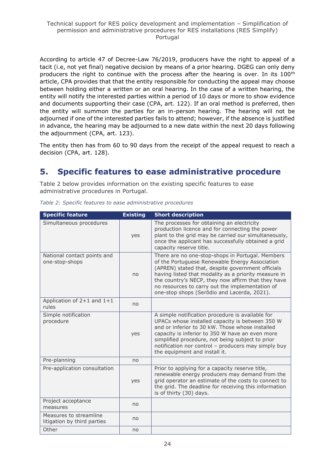According to article 47 of Decree-Law 76/2019, producers have the right to appeal of a tacit (i.e, not yet final) negative decision by means of a prior hearing. DGEG can only deny producers the right to continue with the process after the hearing is over. In its 100<sup>th</sup> article, CPA provides that that the entity responsible for conducting the appeal may choose between holding either a written or an oral hearing. In the case of a written hearing, the entity will notify the interested parties within a period of 10 days or more to show evidence and documents supporting their case (CPA, art. 122). If an oral method is preferred, then the entity will summon the parties for an in-person hearing. The hearing will not be adjourned if one of the interested parties fails to attend; however, if the absence is justified in advance, the hearing may be adjourned to a new date within the next 20 days following the adjournment (CPA, art. 123).

The entity then has from 60 to 90 days from the receipt of the appeal request to reach a decision (CPA, art. 128).

# <span id="page-23-0"></span>**5. Specific features to ease administrative procedure**

Table 2 below provides information on the existing specific features to ease administrative procedures in Portugal.

| <b>Specific feature</b>                               | <b>Existing</b> | <b>Short description</b>                                                                                                                                                                                                                                                                                                                                                |
|-------------------------------------------------------|-----------------|-------------------------------------------------------------------------------------------------------------------------------------------------------------------------------------------------------------------------------------------------------------------------------------------------------------------------------------------------------------------------|
| Simultaneous procedures                               | yes             | The processes for obtaining an electricity<br>production licence and for connecting the power<br>plant to the grid may be carried our simultaneously,<br>once the applicant has successfully obtained a grid<br>capacity reserve title.                                                                                                                                 |
| National contact points and<br>one-stop-shops         | no              | There are no one-stop-shops in Portugal. Members<br>of the Portuguese Renewable Energy Association<br>(APREN) stated that, despite government officials<br>having listed that modality as a priority measure in<br>the country's NECP, they now affirm that they have<br>no resources to carry out the implementation of<br>one-stop shops (Serôdio and Lacerda, 2021). |
| Application of $2+1$ and $1+1$<br>rules               | no              |                                                                                                                                                                                                                                                                                                                                                                         |
| Simple notification<br>procedure                      | yes             | A simple notification procedure is available for<br>UPACs whose installed capacity is between 350 W<br>and or inferior to 30 kW. Those whose installed<br>capacity is inferior to 350 W have an even more<br>simplified procedure, not being subject to prior<br>notification nor control - producers may simply buy<br>the equipment and install it.                   |
| Pre-planning                                          | no              |                                                                                                                                                                                                                                                                                                                                                                         |
| Pre-application consultation                          | yes             | Prior to applying for a capacity reserve title,<br>renewable energy producers may demand from the<br>grid operator an estimate of the costs to connect to<br>the grid. The deadline for receiving this information<br>is of thirty (30) days.                                                                                                                           |
| Project acceptance<br>measures                        | no              |                                                                                                                                                                                                                                                                                                                                                                         |
| Measures to streamline<br>litigation by third parties | no              |                                                                                                                                                                                                                                                                                                                                                                         |
| Other                                                 | no              |                                                                                                                                                                                                                                                                                                                                                                         |

*Table 2: Specific features to ease administrative procedures*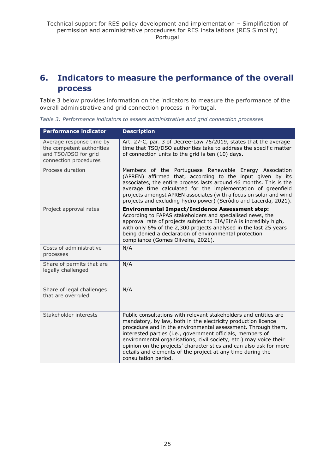# <span id="page-24-0"></span>**6. Indicators to measure the performance of the overall process**

Table 3 below provides information on the indicators to measure the performance of the overall administrative and grid connection process in Portugal.

*Table 3: Performance indicators to assess administrative and grid connection processes*

| <b>Performance indicator</b>                                                                           | <b>Description</b>                                                                                                                                                                                                                                                                                                                                                                                                                                                                               |
|--------------------------------------------------------------------------------------------------------|--------------------------------------------------------------------------------------------------------------------------------------------------------------------------------------------------------------------------------------------------------------------------------------------------------------------------------------------------------------------------------------------------------------------------------------------------------------------------------------------------|
| Average response time by<br>the competent authorities<br>and TSO/DSO for grid<br>connection procedures | Art. 27-C, par. 3 of Decree-Law 76/2019, states that the average<br>time that TSO/DSO authorities take to address the specific matter<br>of connection units to the grid is ten (10) days.                                                                                                                                                                                                                                                                                                       |
| Process duration                                                                                       | Members of the Portuguese Renewable Energy Association<br>(APREN) affirmed that, according to the input given by its<br>associates, the entire process lasts around 46 months. This is the<br>average time calculated for the implementation of greenfield<br>projects amongst APREN associates (with a focus on solar and wind<br>projects and excluding hydro power) (Serôdio and Lacerda, 2021).                                                                                              |
| Project approval rates                                                                                 | <b>Environmental Impact/Incidence Assessment step:</b><br>According to FAPAS stakeholders and specialised news, the<br>approval rate of projects subject to EIA/EInA is incredibly high,<br>with only 6% of the 2,300 projects analysed in the last 25 years<br>being denied a declaration of environmental protection<br>compliance (Gomes Oliveira, 2021).                                                                                                                                     |
| Costs of administrative<br>processes                                                                   | N/A                                                                                                                                                                                                                                                                                                                                                                                                                                                                                              |
| Share of permits that are<br>legally challenged                                                        | N/A                                                                                                                                                                                                                                                                                                                                                                                                                                                                                              |
| Share of legal challenges<br>that are overruled                                                        | N/A                                                                                                                                                                                                                                                                                                                                                                                                                                                                                              |
| Stakeholder interests                                                                                  | Public consultations with relevant stakeholders and entities are<br>mandatory, by law, both in the electricity production licence<br>procedure and in the environmental assessment. Through them,<br>interested parties (i.e., government officials, members of<br>environmental organisations, civil society, etc.) may voice their<br>opinion on the projects' characteristics and can also ask for more<br>details and elements of the project at any time during the<br>consultation period. |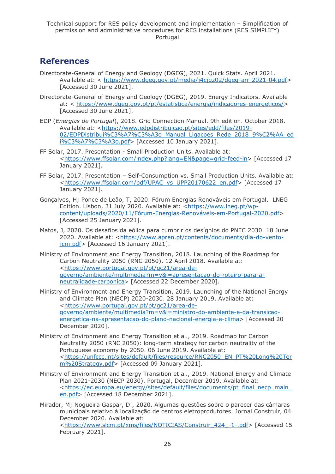# <span id="page-25-0"></span>**References**

- Directorate-General of Energy and Geology (DGEG), 2021. Quick Stats. April 2021. Available at: < [https://www.dgeg.gov.pt/media/j4cjqz02/dgeg-arr-2021-04.pdf>](https://www.dgeg.gov.pt/media/j4cjqz02/dgeg-arr-2021-04.pdf) [Accessed 30 June 2021].
- Directorate-General of Energy and Geology (DGEG), 2019. Energy Indicators. Available at: < [https://www.dgeg.gov.pt/pt/estatistica/energia/indicadores-energeticos/>](https://www.dgeg.gov.pt/pt/estatistica/energia/indicadores-energeticos/) [Accessed 30 June 2021].
- EDP (*Energias de Portugal*), 2018. Grid Connection Manual. 9th edition. October 2018. Available at: [<https://www.edpdistribuicao.pt/sites/edd/files/2019-](https://www.edpdistribuicao.pt/sites/edd/files/2019-02/EDPDistribui%C3%A7%C3%A3o_Manual_Ligacoes_Rede_2018_9%C2%AA_edi%C3%A7%C3%A3o.pdf) [02/EDPDistribui%C3%A7%C3%A3o\\_Manual\\_Ligacoes\\_Rede\\_2018\\_9%C2%AA\\_ed](https://www.edpdistribuicao.pt/sites/edd/files/2019-02/EDPDistribui%C3%A7%C3%A3o_Manual_Ligacoes_Rede_2018_9%C2%AA_edi%C3%A7%C3%A3o.pdf) [i%C3%A7%C3%A3o.pdf>](https://www.edpdistribuicao.pt/sites/edd/files/2019-02/EDPDistribui%C3%A7%C3%A3o_Manual_Ligacoes_Rede_2018_9%C2%AA_edi%C3%A7%C3%A3o.pdf) [Accessed 10 January 2021].
- FF Solar, 2017. Presentation Small Production Units. Available at: [<https://www.ffsolar.com/index.php?lang=EN&page=grid-feed-in>](https://www.ffsolar.com/index.php?lang=EN&page=grid-feed-in) [Accessed 17 January 2021].
- FF Solar, 2017. Presentation Self-Consumption vs. Small Production Units. Available at: [<https://www.ffsolar.com/pdf/UPAC\\_vs\\_UPP20170622\\_en.pdf>](https://www.ffsolar.com/pdf/UPAC_vs_UPP20170622_en.pdf) [Accessed 17 January 2021].
- Gonçalves, H; Ponce de Leão, T, 2020. Fórum Energias Renováveis em Portugal. LNEG Edition. Lisbon, 31 July 2020. Available at: [<https://www.lneg.pt/wp](https://www.lneg.pt/wp-content/uploads/2020/11/Fórum-Energias-Renováveis-em-Portugal-2020.pdf)[content/uploads/2020/11/Fórum-Energias-Renováveis-em-Portugal-2020.pdf>](https://www.lneg.pt/wp-content/uploads/2020/11/Fórum-Energias-Renováveis-em-Portugal-2020.pdf) [Accessed 25 January 2021].
- Matos, J, 2020. Os desafios da eólica para cumprir os desígnios do PNEC 2030. 18 June 2020. Available at: [<https://www.apren.pt/contents/documents/dia-do-vento](https://www.apren.pt/contents/documents/dia-do-vento-jcm.pdf)[jcm.pdf>](https://www.apren.pt/contents/documents/dia-do-vento-jcm.pdf) [Accessed 16 January 2021].
- Ministry of Environment and Energy Transition, 2018. Launching of the Roadmap for Carbon Neutrality 2050 (RNC 2050). 12 April 2018. Available at: [<https://www.portugal.gov.pt/pt/gc21/area-de](https://www.portugal.gov.pt/pt/gc21/area-de-governo/ambiente/multimedia?m=v&i=apresentacao-do-roteiro-para-a-neutralidade-carbonica)[governo/ambiente/multimedia?m=v&i=apresentacao-do-roteiro-para-a](https://www.portugal.gov.pt/pt/gc21/area-de-governo/ambiente/multimedia?m=v&i=apresentacao-do-roteiro-para-a-neutralidade-carbonica)[neutralidade-carbonica](https://www.portugal.gov.pt/pt/gc21/area-de-governo/ambiente/multimedia?m=v&i=apresentacao-do-roteiro-para-a-neutralidade-carbonica)> [Accessed 22 December 2020].
- Ministry of Environment and Energy Transition, 2019. Launching of the National Energy and Climate Plan (NECP) 2020-2030. 28 January 2019. Available at: [<https://www.portugal.gov.pt/pt/gc21/area-de](https://www.portugal.gov.pt/pt/gc21/area-de-governo/ambiente/multimedia?m=v&i=ministro-do-ambiente-e-da-transicao-energetica-na-apresentacao-do-plano-nacional-energia-e-clima)[governo/ambiente/multimedia?m=v&i=ministro-do-ambiente-e-da-transicao](https://www.portugal.gov.pt/pt/gc21/area-de-governo/ambiente/multimedia?m=v&i=ministro-do-ambiente-e-da-transicao-energetica-na-apresentacao-do-plano-nacional-energia-e-clima)[energetica-na-apresentacao-do-plano-nacional-energia-e-clima>](https://www.portugal.gov.pt/pt/gc21/area-de-governo/ambiente/multimedia?m=v&i=ministro-do-ambiente-e-da-transicao-energetica-na-apresentacao-do-plano-nacional-energia-e-clima) [Accessed 20 December 2020].
- Ministry of Environment and Energy Transition et al., 2019. Roadmap for Carbon Neutrality 2050 (RNC 2050): long-term strategy for carbon neutrality of the Portuguese economy by 2050. 06 June 2019. Available at: [<https://unfccc.int/sites/default/files/resource/RNC2050\\_EN\\_PT%20Long%20Ter](https://unfccc.int/sites/default/files/resource/RNC2050_EN_PT%20Long%20Term%20Strategy.pdf) [m%20Strategy.pdf>](https://unfccc.int/sites/default/files/resource/RNC2050_EN_PT%20Long%20Term%20Strategy.pdf) [Accessed 09 January 2021].
- Ministry of Environment and Energy Transition et al., 2019. National Energy and Climate Plan 2021-2030 (NECP 2030). Portugal, December 2019. Available at: [<https://ec.europa.eu/energy/sites/default/files/documents/pt\\_final\\_necp\\_main\\_](https://ec.europa.eu/energy/sites/default/files/documents/pt_final_necp_main_en.pdf) [en.pdf>](https://ec.europa.eu/energy/sites/default/files/documents/pt_final_necp_main_en.pdf) [Accessed 18 December 2021].
- Mirador, M; Nogueira Gaspar, D., 2020. Algumas questões sobre o parecer das câmaras municipais relativo à localização de centros eletroprodutores. Jornal Construir, 04 December 2020. Available at: [<https://www.slcm.pt/xms/files/NOTICIAS/Construir\\_424\\_-1-.pdf>](https://www.slcm.pt/xms/files/NOTICIAS/Construir_424_-1-.pdf) [Accessed 15 February 2021].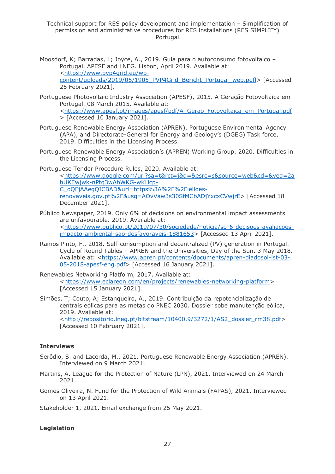Technical support for RES policy development and implementation – Simplification of permission and administrative procedures for RES installations (RES SIMPLIFY) Portugal

- Moosdorf, K; Barradas, L; Joyce, A., 2019. Guia para o autoconsumo fotovoltaico Portugal. APESF and LNEG. Lisbon, April 2019. Available at: [<https://www.pvp4grid.eu/wp](https://www.pvp4grid.eu/wp-content/uploads/2019/05/1905_PVP4Grid_Bericht_Portugal_web.pdfl)[content/uploads/2019/05/1905\\_PVP4Grid\\_Bericht\\_Portugal\\_web.pdfl>](https://www.pvp4grid.eu/wp-content/uploads/2019/05/1905_PVP4Grid_Bericht_Portugal_web.pdfl) [Accessed 25 February 2021].
- Portuguese Photovoltaic Industry Association (APESF), 2015. A Geração Fotovoltaica em Portugal. 08 March 2015. Available at: [<https://www.apesf.pt/images/apesf/pdf/A\\_Gerao\\_Fotovoltaica\\_em\\_Portugal.pdf](https://www.apesf.pt/images/apesf/pdf/A_Gerao_Fotovoltaica_em_Portugal.pdf) > [Accessed 10 January 2021].
- Portuguese Renewable Energy Association (APREN), Portuguese Environmental Agency (APA), and Directorate-General for Energy and Geology's (DGEG) Task force, 2019. Difficulties in the Licensing Process.
- Portuguese Renewable Energy Association's (APREN) Working Group, 2020. Difficulties in the Licensing Process.

Portuguese Tender Procedure Rules, 2020. Available at:

[<https://www.google.com/url?sa=t&rct=j&q=&esrc=s&source=web&cd=&ved=2a](https://www.google.com/url?sa=t&rct=j&q=&esrc=s&source=web&cd=&ved=2ahUKEwjwk-nPtq3wAhWKG-wKHcp-C_oQFjAAegQICBAD&url=https%3A%2F%2Fleiloes-renovaveis.gov.pt%2F&usg=AOvVaw3s30SfMCbADjYxcxCVwjrE) [hUKEwjwk-nPtq3wAhWKG-wKHcp-](https://www.google.com/url?sa=t&rct=j&q=&esrc=s&source=web&cd=&ved=2ahUKEwjwk-nPtq3wAhWKG-wKHcp-C_oQFjAAegQICBAD&url=https%3A%2F%2Fleiloes-renovaveis.gov.pt%2F&usg=AOvVaw3s30SfMCbADjYxcxCVwjrE)[C\\_oQFjAAegQICBAD&url=https%3A%2F%2Fleiloes](https://www.google.com/url?sa=t&rct=j&q=&esrc=s&source=web&cd=&ved=2ahUKEwjwk-nPtq3wAhWKG-wKHcp-C_oQFjAAegQICBAD&url=https%3A%2F%2Fleiloes-renovaveis.gov.pt%2F&usg=AOvVaw3s30SfMCbADjYxcxCVwjrE)[renovaveis.gov.pt%2F&usg=AOvVaw3s30SfMCbADjYxcxCVwjrE>](https://www.google.com/url?sa=t&rct=j&q=&esrc=s&source=web&cd=&ved=2ahUKEwjwk-nPtq3wAhWKG-wKHcp-C_oQFjAAegQICBAD&url=https%3A%2F%2Fleiloes-renovaveis.gov.pt%2F&usg=AOvVaw3s30SfMCbADjYxcxCVwjrE) [Accessed 18 December 2021].

- Público Newspaper, 2019. Only 6% of decisions on environmental impact assessments are unfavourable. 2019. Available at: [<https://www.publico.pt/2019/07/30/sociedade/noticia/so-6-decisoes-avaliacoes](https://www.publico.pt/2019/07/30/sociedade/noticia/so-6-decisoes-avaliacoes-impacto-ambiental-sao-desfavoraveis-1881653)[impacto-ambiental-sao-desfavoraveis-1881653>](https://www.publico.pt/2019/07/30/sociedade/noticia/so-6-decisoes-avaliacoes-impacto-ambiental-sao-desfavoraveis-1881653) [Accessed 13 April 2021].
- Ramos Pinto, F., 2018. Self-consumption and decentralized (PV) generation in Portugal. Cycle of Round Tables – APREN and the Universities, Day of the Sun. 3 May 2018. Available at: [<https://www.apren.pt/contents/documents/apren-diadosol-ist-03-](https://www.apren.pt/contents/documents/apren-diadosol-ist-03-05-2018-apesf-eng.pdf) [05-2018-apesf-eng.pdf>](https://www.apren.pt/contents/documents/apren-diadosol-ist-03-05-2018-apesf-eng.pdf) [Accessed 16 January 2021].

Renewables Networking Platform, 2017. Available at: [<https://www.eclareon.com/en/projects/renewables-networking-platform>](https://www.eclareon.com/en/projects/renewables-networking-platform) [Accessed 15 January 2021].

Simões, T; Couto, A; Estanqueiro, A., 2019. Contribuição da repotencialização de centrais eólicas para as metas do PNEC 2030. Dossier sobe manutenção eólica, 2019. Available at: [<http://repositorio.lneg.pt/bitstream/10400.9/3272/1/AS2\\_dossier\\_rm38.pdf>](http://repositorio.lneg.pt/bitstream/10400.9/3272/1/AS2_dossier_rm38.pdf) [Accessed 10 February 2021].

#### **Interviews**

- Serôdio, S. and Lacerda, M., 2021. Portuguese Renewable Energy Association (APREN). Interviewed on 9 March 2021.
- Martins, A. League for the Protection of Nature (LPN), 2021. Interviewed on 24 March 2021.

Gomes Oliveira, N. Fund for the Protection of Wild Animals (FAPAS), 2021. Interviewed on 13 April 2021.

Stakeholder 1, 2021. Email exchange from 25 May 2021.

#### **Legislation**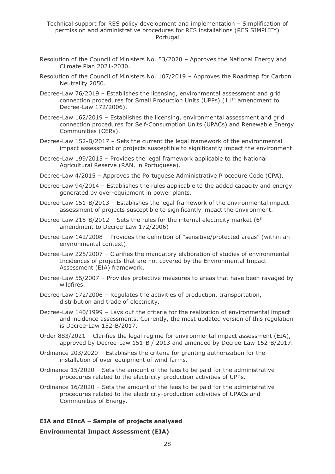- Resolution of the Council of Ministers No. 53/2020 Approves the National Energy and Climate Plan 2021-2030.
- Resolution of the Council of Ministers No. 107/2019 Approves the Roadmap for Carbon Neutrality 2050.
- Decree-Law 76/2019 Establishes the licensing, environmental assessment and grid connection procedures for Small Production Units (UPPs) (11<sup>th</sup> amendment to Decree-Law 172/2006).
- Decree-Law 162/2019 Establishes the licensing, environmental assessment and grid connection procedures for Self-Consumption Units (UPACs) and Renewable Energy Communities (CERs).
- Decree-Law 152-B/2017 Sets the current the legal framework of the environmental impact assessment of projects susceptible to significantly impact the environment.
- Decree-Law 199/2015 Provides the legal framework applicable to the National Agricultural Reserve (RAN, in Portuguese).
- Decree-Law 4/2015 Approves the Portuguese Administrative Procedure Code (CPA).
- Decree-Law 94/2014 Establishes the rules applicable to the added capacity and energy generated by over-equipment in power plants.
- Decree-Law 151-B/2013 Establishes the legal framework of the environmental impact assessment of projects susceptible to significantly impact the environment.
- Decree-Law 215-B/2012 Sets the rules for the internal electricity market ( $6<sup>th</sup>$ amendment to Decree-Law 172/2006)
- Decree-Law 142/2008 Provides the definition of "sensitive/protected areas" (within an environmental context).
- Decree-Law 225/2007 Clarifies the mandatory elaboration of studies of environmental Incidences of projects that are not covered by the Environmental Impact Assessment (EIA) framework.
- Decree-Law 55/2007 Provides protective measures to areas that have been ravaged by wildfires.
- Decree-Law 172/2006 Regulates the activities of production, transportation, distribution and trade of electricity.
- Decree-Law 140/1999 Lays out the criteria for the realization of environmental impact and incidence assessments. Currently, the most updated version of this regulation is Decree-Law 152-B/2017.
- Order 883/2021 Clarifies the legal regime for environmental impact assessment (EIA), approved by Decree-Law 151-B / 2013 and amended by Decree-Law 152-B/2017.
- Ordinance 203/2020 Establishes the criteria for granting authorization for the installation of over-equipment of wind farms.
- Ordinance 15/2020 Sets the amount of the fees to be paid for the administrative procedures related to the electricity-production activities of UPPs.
- Ordinance 16/2020 Sets the amount of the fees to be paid for the administrative procedures related to the electricity-production activities of UPACs and Communities of Energy.

## **EIA and EIncA – Sample of projects analysed**

#### **Environmental Impact Assessment (EIA)**